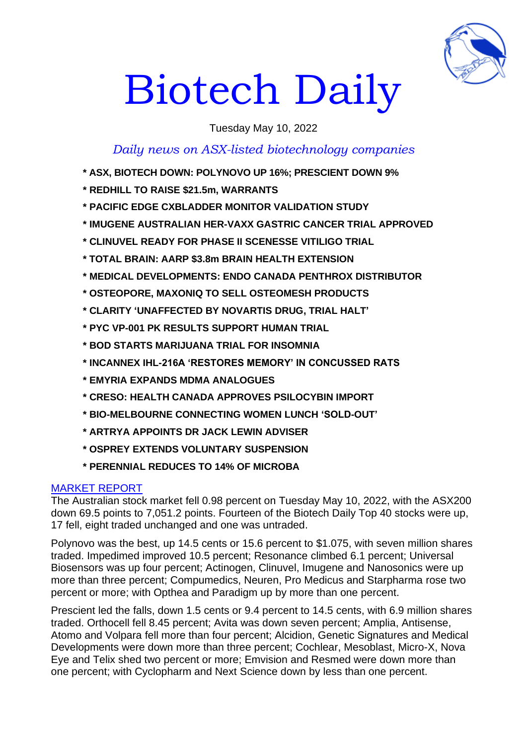

# Biotech Daily

Tuesday May 10, 2022

## *Daily news on ASX-listed biotechnology companies*

- **\* ASX, BIOTECH DOWN: POLYNOVO UP 16%; PRESCIENT DOWN 9%**
- **\* REDHILL TO RAISE \$21.5m, WARRANTS**
- **\* PACIFIC EDGE CXBLADDER MONITOR VALIDATION STUDY**
- **\* IMUGENE AUSTRALIAN HER-VAXX GASTRIC CANCER TRIAL APPROVED**
- **\* CLINUVEL READY FOR PHASE II SCENESSE VITILIGO TRIAL**
- **\* TOTAL BRAIN: AARP \$3.8m BRAIN HEALTH EXTENSION**
- **\* MEDICAL DEVELOPMENTS: ENDO CANADA PENTHROX DISTRIBUTOR**
- **\* OSTEOPORE, MAXONIQ TO SELL OSTEOMESH PRODUCTS**
- **\* CLARITY 'UNAFFECTED BY NOVARTIS DRUG, TRIAL HALT'**
- **\* PYC VP-001 PK RESULTS SUPPORT HUMAN TRIAL**
- **\* BOD STARTS MARIJUANA TRIAL FOR INSOMNIA**
- **\* INCANNEX IHL-216A 'RESTORES MEMORY' IN CONCUSSED RATS**
- **\* EMYRIA EXPANDS MDMA ANALOGUES**
- **\* CRESO: HEALTH CANADA APPROVES PSILOCYBIN IMPORT**
- **\* BIO-MELBOURNE CONNECTING WOMEN LUNCH 'SOLD-OUT'**
- **\* ARTRYA APPOINTS DR JACK LEWIN ADVISER**
- **\* OSPREY EXTENDS VOLUNTARY SUSPENSION**
- **\* PERENNIAL REDUCES TO 14% OF MICROBA**

## MARKET REPORT

The Australian stock market fell 0.98 percent on Tuesday May 10, 2022, with the ASX200 down 69.5 points to 7,051.2 points. Fourteen of the Biotech Daily Top 40 stocks were up, 17 fell, eight traded unchanged and one was untraded.

Polynovo was the best, up 14.5 cents or 15.6 percent to \$1.075, with seven million shares traded. Impedimed improved 10.5 percent; Resonance climbed 6.1 percent; Universal Biosensors was up four percent; Actinogen, Clinuvel, Imugene and Nanosonics were up more than three percent; Compumedics, Neuren, Pro Medicus and Starpharma rose two percent or more; with Opthea and Paradigm up by more than one percent.

Prescient led the falls, down 1.5 cents or 9.4 percent to 14.5 cents, with 6.9 million shares traded. Orthocell fell 8.45 percent; Avita was down seven percent; Amplia, Antisense, Atomo and Volpara fell more than four percent; Alcidion, Genetic Signatures and Medical Developments were down more than three percent; Cochlear, Mesoblast, Micro-X, Nova Eye and Telix shed two percent or more; Emvision and Resmed were down more than one percent; with Cyclopharm and Next Science down by less than one percent.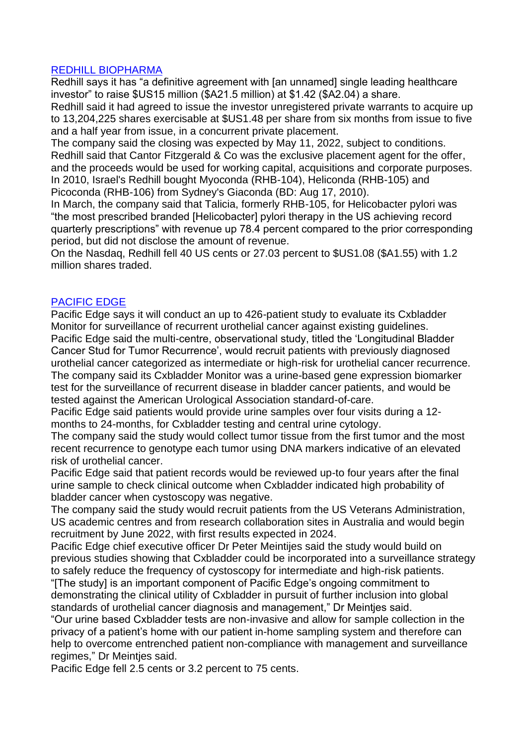## REDHILL BIOPHARMA

Redhill says it has "a definitive agreement with [an unnamed] single leading healthcare investor" to raise \$US15 million (\$A21.5 million) at \$1.42 (\$A2.04) a share.

Redhill said it had agreed to issue the investor unregistered private warrants to acquire up to 13,204,225 shares exercisable at \$US1.48 per share from six months from issue to five and a half year from issue, in a concurrent private placement.

The company said the closing was expected by May 11, 2022, subject to conditions. Redhill said that Cantor Fitzgerald & Co was the exclusive placement agent for the offer, and the proceeds would be used for working capital, acquisitions and corporate purposes. In 2010, Israel's Redhill bought Myoconda (RHB-104), Heliconda (RHB-105) and Picoconda (RHB-106) from Sydney's Giaconda (BD: Aug 17, 2010).

In March, the company said that Talicia, formerly RHB-105, for Helicobacter pylori was "the most prescribed branded [Helicobacter] pylori therapy in the US achieving record quarterly prescriptions" with revenue up 78.4 percent compared to the prior corresponding period, but did not disclose the amount of revenue.

On the Nasdaq, Redhill fell 40 US cents or 27.03 percent to \$US1.08 (\$A1.55) with 1.2 million shares traded.

## PACIFIC EDGE

Pacific Edge says it will conduct an up to 426-patient study to evaluate its Cxbladder Monitor for surveillance of recurrent urothelial cancer against existing guidelines. Pacific Edge said the multi-centre, observational study, titled the 'Longitudinal Bladder Cancer Stud for Tumor Recurrence', would recruit patients with previously diagnosed urothelial cancer categorized as intermediate or high-risk for urothelial cancer recurrence. The company said its Cxbladder Monitor was a urine-based gene expression biomarker test for the surveillance of recurrent disease in bladder cancer patients, and would be tested against the American Urological Association standard-of-care.

Pacific Edge said patients would provide urine samples over four visits during a 12 months to 24-months, for Cxbladder testing and central urine cytology.

The company said the study would collect tumor tissue from the first tumor and the most recent recurrence to genotype each tumor using DNA markers indicative of an elevated risk of urothelial cancer.

Pacific Edge said that patient records would be reviewed up-to four years after the final urine sample to check clinical outcome when Cxbladder indicated high probability of bladder cancer when cystoscopy was negative.

The company said the study would recruit patients from the US Veterans Administration, US academic centres and from research collaboration sites in Australia and would begin recruitment by June 2022, with first results expected in 2024.

Pacific Edge chief executive officer Dr Peter Meintijes said the study would build on previous studies showing that Cxbladder could be incorporated into a surveillance strategy to safely reduce the frequency of cystoscopy for intermediate and high-risk patients. "[The study] is an important component of Pacific Edge's ongoing commitment to

demonstrating the clinical utility of Cxbladder in pursuit of further inclusion into global standards of urothelial cancer diagnosis and management," Dr Meintjes said.

"Our urine based Cxbladder tests are non-invasive and allow for sample collection in the privacy of a patient's home with our patient in-home sampling system and therefore can help to overcome entrenched patient non-compliance with management and surveillance regimes," Dr Meintjes said.

Pacific Edge fell 2.5 cents or 3.2 percent to 75 cents.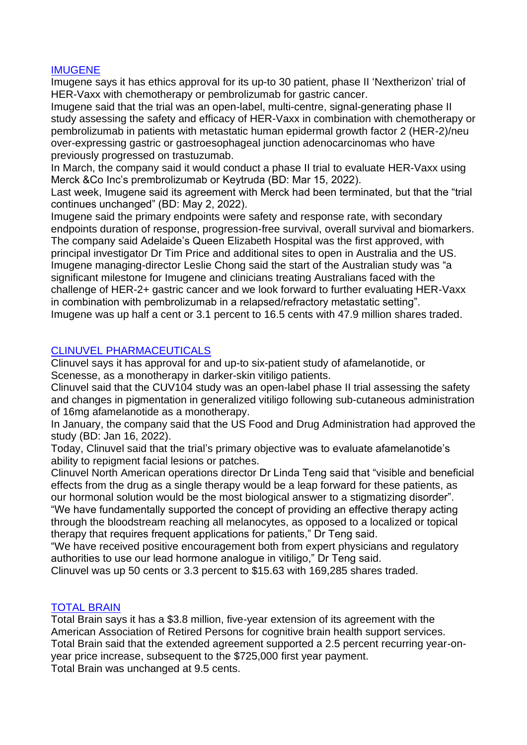## IMUGENE

Imugene says it has ethics approval for its up-to 30 patient, phase II 'Nextherizon' trial of HER-Vaxx with chemotherapy or pembrolizumab for gastric cancer.

Imugene said that the trial was an open-label, multi-centre, signal-generating phase II study assessing the safety and efficacy of HER-Vaxx in combination with chemotherapy or pembrolizumab in patients with metastatic human epidermal growth factor 2 (HER-2)/neu over-expressing gastric or gastroesophageal junction adenocarcinomas who have previously progressed on trastuzumab.

In March, the company said it would conduct a phase II trial to evaluate HER-Vaxx using Merck &Co Inc's prembrolizumab or Keytruda (BD: Mar 15, 2022).

Last week, Imugene said its agreement with Merck had been terminated, but that the "trial continues unchanged" (BD: May 2, 2022).

Imugene said the primary endpoints were safety and response rate, with secondary endpoints duration of response, progression-free survival, overall survival and biomarkers. The company said Adelaide's Queen Elizabeth Hospital was the first approved, with principal investigator Dr Tim Price and additional sites to open in Australia and the US. Imugene managing-director Leslie Chong said the start of the Australian study was "a significant milestone for Imugene and clinicians treating Australians faced with the challenge of HER-2+ gastric cancer and we look forward to further evaluating HER-Vaxx in combination with pembrolizumab in a relapsed/refractory metastatic setting". Imugene was up half a cent or 3.1 percent to 16.5 cents with 47.9 million shares traded.

## CLINUVEL PHARMACEUTICALS

Clinuvel says it has approval for and up-to six-patient study of afamelanotide, or Scenesse, as a monotherapy in darker-skin vitiligo patients.

Clinuvel said that the CUV104 study was an open-label phase II trial assessing the safety and changes in pigmentation in generalized vitiligo following sub-cutaneous administration of 16mg afamelanotide as a monotherapy.

In January, the company said that the US Food and Drug Administration had approved the study (BD: Jan 16, 2022).

Today, Clinuvel said that the trial's primary objective was to evaluate afamelanotide's ability to repigment facial lesions or patches.

Clinuvel North American operations director Dr Linda Teng said that "visible and beneficial effects from the drug as a single therapy would be a leap forward for these patients, as our hormonal solution would be the most biological answer to a stigmatizing disorder". "We have fundamentally supported the concept of providing an effective therapy acting through the bloodstream reaching all melanocytes, as opposed to a localized or topical therapy that requires frequent applications for patients," Dr Teng said.

"We have received positive encouragement both from expert physicians and regulatory authorities to use our lead hormone analogue in vitiligo," Dr Teng said.

Clinuvel was up 50 cents or 3.3 percent to \$15.63 with 169,285 shares traded.

## TOTAL BRAIN

Total Brain says it has a \$3.8 million, five-year extension of its agreement with the American Association of Retired Persons for cognitive brain health support services. Total Brain said that the extended agreement supported a 2.5 percent recurring year-onyear price increase, subsequent to the \$725,000 first year payment. Total Brain was unchanged at 9.5 cents.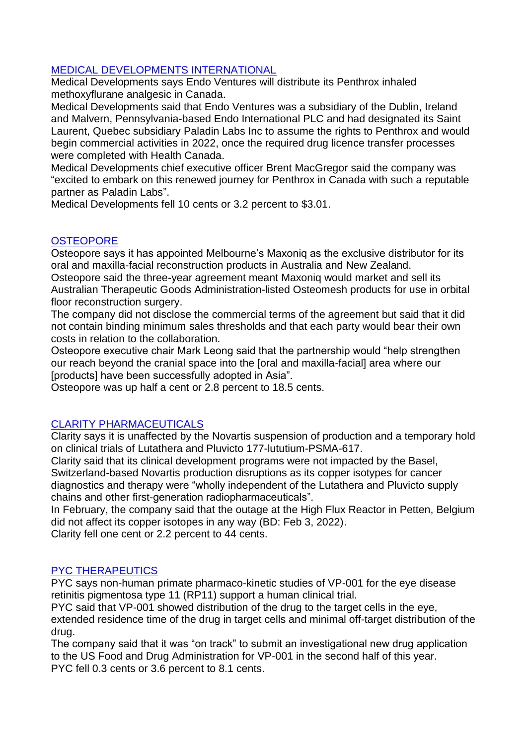## MEDICAL DEVELOPMENTS INTERNATIONAL

Medical Developments says Endo Ventures will distribute its Penthrox inhaled methoxyflurane analgesic in Canada.

Medical Developments said that Endo Ventures was a subsidiary of the Dublin, Ireland and Malvern, Pennsylvania-based Endo International PLC and had designated its Saint Laurent, Quebec subsidiary Paladin Labs Inc to assume the rights to Penthrox and would begin commercial activities in 2022, once the required drug licence transfer processes were completed with Health Canada.

Medical Developments chief executive officer Brent MacGregor said the company was "excited to embark on this renewed journey for Penthrox in Canada with such a reputable partner as Paladin Labs".

Medical Developments fell 10 cents or 3.2 percent to \$3.01.

## **OSTEOPORE**

Osteopore says it has appointed Melbourne's Maxoniq as the exclusive distributor for its oral and maxilla-facial reconstruction products in Australia and New Zealand.

Osteopore said the three-year agreement meant Maxoniq would market and sell its Australian Therapeutic Goods Administration-listed Osteomesh products for use in orbital floor reconstruction surgery.

The company did not disclose the commercial terms of the agreement but said that it did not contain binding minimum sales thresholds and that each party would bear their own costs in relation to the collaboration.

Osteopore executive chair Mark Leong said that the partnership would "help strengthen our reach beyond the cranial space into the [oral and maxilla-facial] area where our [products] have been successfully adopted in Asia".

Osteopore was up half a cent or 2.8 percent to 18.5 cents.

## CLARITY PHARMACEUTICALS

Clarity says it is unaffected by the Novartis suspension of production and a temporary hold on clinical trials of Lutathera and Pluvicto 177-lututium-PSMA-617.

Clarity said that its clinical development programs were not impacted by the Basel, Switzerland-based Novartis production disruptions as its copper isotypes for cancer diagnostics and therapy were "wholly independent of the Lutathera and Pluvicto supply chains and other first-generation radiopharmaceuticals".

In February, the company said that the outage at the High Flux Reactor in Petten, Belgium did not affect its copper isotopes in any way (BD: Feb 3, 2022).

Clarity fell one cent or 2.2 percent to 44 cents.

## PYC THERAPEUTICS

PYC says non-human primate pharmaco-kinetic studies of VP-001 for the eye disease retinitis pigmentosa type 11 (RP11) support a human clinical trial.

PYC said that VP-001 showed distribution of the drug to the target cells in the eye, extended residence time of the drug in target cells and minimal off-target distribution of the drug.

The company said that it was "on track" to submit an investigational new drug application to the US Food and Drug Administration for VP-001 in the second half of this year. PYC fell 0.3 cents or 3.6 percent to 8.1 cents.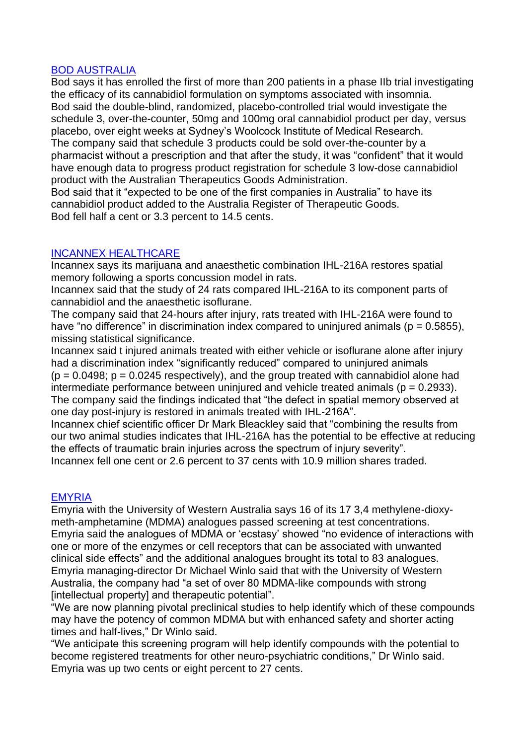## BOD AUSTRALIA

Bod says it has enrolled the first of more than 200 patients in a phase IIb trial investigating the efficacy of its cannabidiol formulation on symptoms associated with insomnia. Bod said the double-blind, randomized, placebo-controlled trial would investigate the schedule 3, over-the-counter, 50mg and 100mg oral cannabidiol product per day, versus placebo, over eight weeks at Sydney's Woolcock Institute of Medical Research. The company said that schedule 3 products could be sold over-the-counter by a pharmacist without a prescription and that after the study, it was "confident" that it would have enough data to progress product registration for schedule 3 low-dose cannabidiol product with the Australian Therapeutics Goods Administration.

Bod said that it "expected to be one of the first companies in Australia" to have its cannabidiol product added to the Australia Register of Therapeutic Goods. Bod fell half a cent or 3.3 percent to 14.5 cents.

## INCANNEX HEALTHCARE

Incannex says its marijuana and anaesthetic combination IHL-216A restores spatial memory following a sports concussion model in rats.

Incannex said that the study of 24 rats compared IHL-216A to its component parts of cannabidiol and the anaesthetic isoflurane.

The company said that 24-hours after injury, rats treated with IHL-216A were found to have "no difference" in discrimination index compared to uninjured animals ( $p = 0.5855$ ), missing statistical significance.

Incannex said t injured animals treated with either vehicle or isoflurane alone after injury had a discrimination index "significantly reduced" compared to uninjured animals  $(p = 0.0498; p = 0.0245$  respectively), and the group treated with cannabidiol alone had intermediate performance between uninjured and vehicle treated animals ( $p = 0.2933$ ). The company said the findings indicated that "the defect in spatial memory observed at one day post-injury is restored in animals treated with IHL-216A".

Incannex chief scientific officer Dr Mark Bleackley said that "combining the results from our two animal studies indicates that IHL-216A has the potential to be effective at reducing the effects of traumatic brain injuries across the spectrum of injury severity". Incannex fell one cent or 2.6 percent to 37 cents with 10.9 million shares traded.

## EMYRIA

Emyria with the University of Western Australia says 16 of its 17 3,4 methylene-dioxymeth-amphetamine (MDMA) analogues passed screening at test concentrations. Emyria said the analogues of MDMA or 'ecstasy' showed "no evidence of interactions with one or more of the enzymes or cell receptors that can be associated with unwanted clinical side effects" and the additional analogues brought its total to 83 analogues. Emyria managing-director Dr Michael Winlo said that with the University of Western Australia, the company had "a set of over 80 MDMA-like compounds with strong [intellectual property] and therapeutic potential".

"We are now planning pivotal preclinical studies to help identify which of these compounds may have the potency of common MDMA but with enhanced safety and shorter acting times and half-lives," Dr Winlo said.

"We anticipate this screening program will help identify compounds with the potential to become registered treatments for other neuro-psychiatric conditions," Dr Winlo said. Emyria was up two cents or eight percent to 27 cents.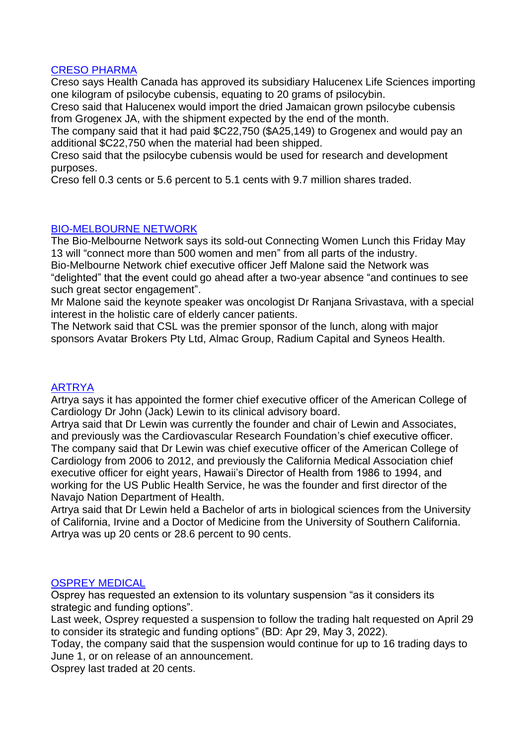## CRESO PHARMA

Creso says Health Canada has approved its subsidiary Halucenex Life Sciences importing one kilogram of psilocybe cubensis, equating to 20 grams of psilocybin.

Creso said that Halucenex would import the dried Jamaican grown psilocybe cubensis from Grogenex JA, with the shipment expected by the end of the month.

The company said that it had paid \$C22,750 (\$A25,149) to Grogenex and would pay an additional \$C22,750 when the material had been shipped.

Creso said that the psilocybe cubensis would be used for research and development purposes.

Creso fell 0.3 cents or 5.6 percent to 5.1 cents with 9.7 million shares traded.

## BIO-MELBOURNE NETWORK

The Bio-Melbourne Network says its sold-out Connecting Women Lunch this Friday May 13 will "connect more than 500 women and men" from all parts of the industry.

Bio-Melbourne Network chief executive officer Jeff Malone said the Network was "delighted" that the event could go ahead after a two-year absence "and continues to see such great sector engagement".

Mr Malone said the keynote speaker was oncologist Dr Ranjana Srivastava, with a special interest in the holistic care of elderly cancer patients.

The Network said that CSL was the premier sponsor of the lunch, along with major sponsors Avatar Brokers Pty Ltd, Almac Group, Radium Capital and Syneos Health.

## ARTRYA

Artrya says it has appointed the former chief executive officer of the American College of Cardiology Dr John (Jack) Lewin to its clinical advisory board.

Artrya said that Dr Lewin was currently the founder and chair of Lewin and Associates, and previously was the Cardiovascular Research Foundation's chief executive officer. The company said that Dr Lewin was chief executive officer of the American College of Cardiology from 2006 to 2012, and previously the California Medical Association chief executive officer for eight years, Hawaii's Director of Health from 1986 to 1994, and working for the US Public Health Service, he was the founder and first director of the Navajo Nation Department of Health.

Artrya said that Dr Lewin held a Bachelor of arts in biological sciences from the University of California, Irvine and a Doctor of Medicine from the University of Southern California. Artrya was up 20 cents or 28.6 percent to 90 cents.

## OSPREY MEDICAL

Osprey has requested an extension to its voluntary suspension "as it considers its strategic and funding options".

Last week, Osprey requested a suspension to follow the trading halt requested on April 29 to consider its strategic and funding options" (BD: Apr 29, May 3, 2022).

Today, the company said that the suspension would continue for up to 16 trading days to June 1, or on release of an announcement.

Osprey last traded at 20 cents.